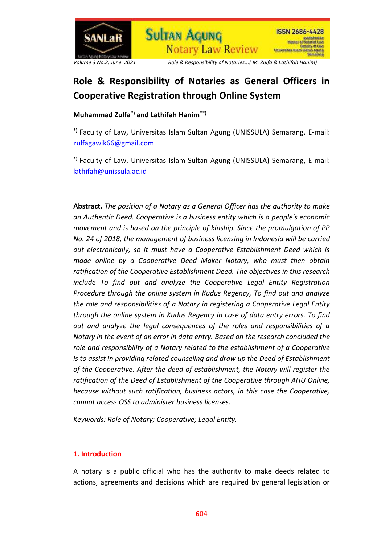



*Volume 3 No.2, June 2021 Role & Responsibility of Notaries...( M. Zulfa & Lathifah Hanim)*

# **Role & Responsibility of Notaries as General Officers in Cooperative Registration through Online System**

**Notary Law Review** 

**Sultan AGUNG** 

**Muhammad Zulfa\*) and Lathifah Hanim\*\*)** 

**\*)** Faculty of Law, Universitas Islam Sultan Agung (UNISSULA) Semarang, E-mail: [zulfagawik66@gmail.com](mailto:zulfagawik66@gmail.com)

**\*)** Faculty of Law, Universitas Islam Sultan Agung (UNISSULA) Semarang, E-mail: [lathifah@unissula.ac.id](mailto:lathifah@unissula.ac.id)

**Abstract.** *The position of a Notary as a General Officer has the authority to make an Authentic Deed. Cooperative is a business entity which is a people's economic movement and is based on the principle of kinship. Since the promulgation of PP No. 24 of 2018, the management of business licensing in Indonesia will be carried out electronically, so it must have a Cooperative Establishment Deed which is made online by a Cooperative Deed Maker Notary, who must then obtain ratification of the Cooperative Establishment Deed. The objectives in this research include To find out and analyze the Cooperative Legal Entity Registration Procedure through the online system in Kudus Regency, To find out and analyze the role and responsibilities of a Notary in registering a Cooperative Legal Entity through the online system in Kudus Regency in case of data entry errors. To find out and analyze the legal consequences of the roles and responsibilities of a Notary in the event of an error in data entry. Based on the research concluded the role and responsibility of a Notary related to the establishment of a Cooperative is to assist in providing related counseling and draw up the Deed of Establishment of the Cooperative. After the deed of establishment, the Notary will register the ratification of the Deed of Establishment of the Cooperative through AHU Online, because without such ratification, business actors, in this case the Cooperative, cannot access OSS to administer business licenses.*

*Keywords: Role of Notary; Cooperative; Legal Entity.*

## **1. Introduction**

A notary is a public official who has the authority to make deeds related to actions, agreements and decisions which are required by general legislation or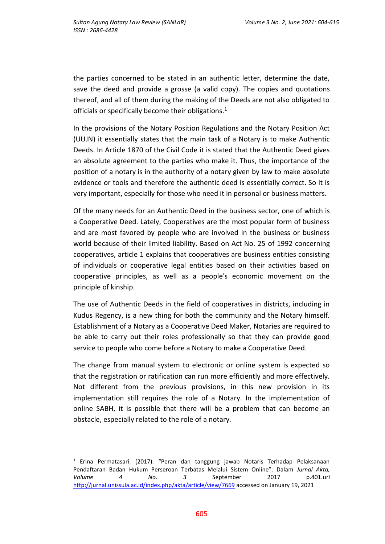the parties concerned to be stated in an authentic letter, determine the date, save the deed and provide a grosse (a valid copy). The copies and quotations thereof, and all of them during the making of the Deeds are not also obligated to officials or specifically become their obligations.<sup>1</sup>

In the provisions of the Notary Position Regulations and the Notary Position Act (UUJN) it essentially states that the main task of a Notary is to make Authentic Deeds. In Article 1870 of the Civil Code it is stated that the Authentic Deed gives an absolute agreement to the parties who make it. Thus, the importance of the position of a notary is in the authority of a notary given by law to make absolute evidence or tools and therefore the authentic deed is essentially correct. So it is very important, especially for those who need it in personal or business matters.

Of the many needs for an Authentic Deed in the business sector, one of which is a Cooperative Deed. Lately, Cooperatives are the most popular form of business and are most favored by people who are involved in the business or business world because of their limited liability. Based on Act No. 25 of 1992 concerning cooperatives, article 1 explains that cooperatives are business entities consisting of individuals or cooperative legal entities based on their activities based on cooperative principles, as well as a people's economic movement on the principle of kinship.

The use of Authentic Deeds in the field of cooperatives in districts, including in Kudus Regency, is a new thing for both the community and the Notary himself. Establishment of a Notary as a Cooperative Deed Maker, Notaries are required to be able to carry out their roles professionally so that they can provide good service to people who come before a Notary to make a Cooperative Deed.

The change from manual system to electronic or online system is expected so that the registration or ratification can run more efficiently and more effectively. Not different from the previous provisions, in this new provision in its implementation still requires the role of a Notary. In the implementation of online SABH, it is possible that there will be a problem that can become an obstacle, especially related to the role of a notary.

 $\overline{a}$ <sup>1</sup> Erina Permatasari. (2017). "Peran dan tanggung jawab Notaris Terhadap Pelaksanaan Pendaftaran Badan Hukum Perseroan Terbatas Melalui Sistem Online". Dalam *Jurnal Akta, Volume 4 No. 3* September 2017 p.401.url <http://jurnal.unissula.ac.id/index.php/akta/article/view/7669> accessed on January 19, 2021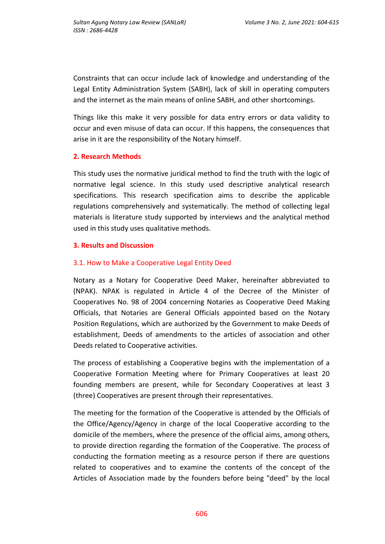Constraints that can occur include lack of knowledge and understanding of the Legal Entity Administration System (SABH), lack of skill in operating computers and the internet as the main means of online SABH, and other shortcomings.

Things like this make it very possible for data entry errors or data validity to occur and even misuse of data can occur. If this happens, the consequences that arise in it are the responsibility of the Notary himself.

### **2. Research Methods**

This study uses the normative juridical method to find the truth with the logic of normative legal science. In this study used descriptive analytical research specifications. This research specification aims to describe the applicable regulations comprehensively and systematically. The method of collecting legal materials is literature study supported by interviews and the analytical method used in this study uses qualitative methods.

#### **3. Results and Discussion**

### 3.1. How to Make a Cooperative Legal Entity Deed

Notary as a Notary for Cooperative Deed Maker, hereinafter abbreviated to (NPAK). NPAK is regulated in Article 4 of the Decree of the Minister of Cooperatives No. 98 of 2004 concerning Notaries as Cooperative Deed Making Officials, that Notaries are General Officials appointed based on the Notary Position Regulations, which are authorized by the Government to make Deeds of establishment, Deeds of amendments to the articles of association and other Deeds related to Cooperative activities.

The process of establishing a Cooperative begins with the implementation of a Cooperative Formation Meeting where for Primary Cooperatives at least 20 founding members are present, while for Secondary Cooperatives at least 3 (three) Cooperatives are present through their representatives.

The meeting for the formation of the Cooperative is attended by the Officials of the Office/Agency/Agency in charge of the local Cooperative according to the domicile of the members, where the presence of the official aims, among others, to provide direction regarding the formation of the Cooperative. The process of conducting the formation meeting as a resource person if there are questions related to cooperatives and to examine the contents of the concept of the Articles of Association made by the founders before being "deed" by the local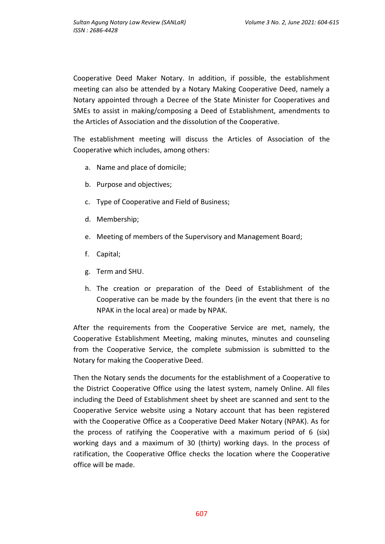Cooperative Deed Maker Notary. In addition, if possible, the establishment meeting can also be attended by a Notary Making Cooperative Deed, namely a Notary appointed through a Decree of the State Minister for Cooperatives and SMEs to assist in making/composing a Deed of Establishment, amendments to the Articles of Association and the dissolution of the Cooperative.

The establishment meeting will discuss the Articles of Association of the Cooperative which includes, among others:

- a. Name and place of domicile;
- b. Purpose and objectives;
- c. Type of Cooperative and Field of Business;
- d. Membership;
- e. Meeting of members of the Supervisory and Management Board;
- f. Capital;
- g. Term and SHU.
- h. The creation or preparation of the Deed of Establishment of the Cooperative can be made by the founders (in the event that there is no NPAK in the local area) or made by NPAK.

After the requirements from the Cooperative Service are met, namely, the Cooperative Establishment Meeting, making minutes, minutes and counseling from the Cooperative Service, the complete submission is submitted to the Notary for making the Cooperative Deed.

Then the Notary sends the documents for the establishment of a Cooperative to the District Cooperative Office using the latest system, namely Online. All files including the Deed of Establishment sheet by sheet are scanned and sent to the Cooperative Service website using a Notary account that has been registered with the Cooperative Office as a Cooperative Deed Maker Notary (NPAK). As for the process of ratifying the Cooperative with a maximum period of 6 (six) working days and a maximum of 30 (thirty) working days. In the process of ratification, the Cooperative Office checks the location where the Cooperative office will be made.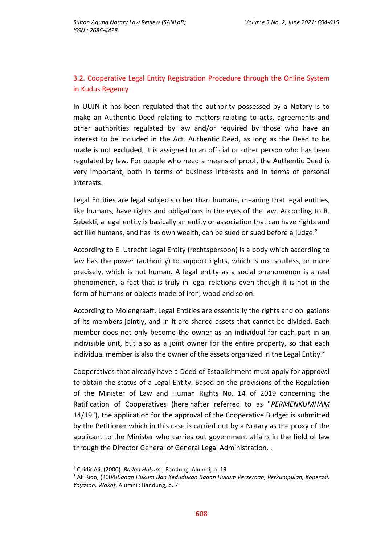## 3.2. Cooperative Legal Entity Registration Procedure through the Online System in Kudus Regency

In UUJN it has been regulated that the authority possessed by a Notary is to make an Authentic Deed relating to matters relating to acts, agreements and other authorities regulated by law and/or required by those who have an interest to be included in the Act. Authentic Deed, as long as the Deed to be made is not excluded, it is assigned to an official or other person who has been regulated by law. For people who need a means of proof, the Authentic Deed is very important, both in terms of business interests and in terms of personal interests.

Legal Entities are legal subjects other than humans, meaning that legal entities, like humans, have rights and obligations in the eyes of the law. According to R. Subekti, a legal entity is basically an entity or association that can have rights and act like humans, and has its own wealth, can be sued or sued before a judge. $2$ 

According to E. Utrecht Legal Entity (rechtspersoon) is a body which according to law has the power (authority) to support rights, which is not soulless, or more precisely, which is not human. A legal entity as a social phenomenon is a real phenomenon, a fact that is truly in legal relations even though it is not in the form of humans or objects made of iron, wood and so on.

According to Molengraaff, Legal Entities are essentially the rights and obligations of its members jointly, and in it are shared assets that cannot be divided. Each member does not only become the owner as an individual for each part in an indivisible unit, but also as a joint owner for the entire property, so that each individual member is also the owner of the assets organized in the Legal Entity. $3$ 

Cooperatives that already have a Deed of Establishment must apply for approval to obtain the status of a Legal Entity. Based on the provisions of the Regulation of the Minister of Law and Human Rights No. 14 of 2019 concerning the Ratification of Cooperatives (hereinafter referred to as "*PERMENKUMHAM* 14/19"), the application for the approval of the Cooperative Budget is submitted by the Petitioner which in this case is carried out by a Notary as the proxy of the applicant to the Minister who carries out government affairs in the field of law through the Director General of General Legal Administration. .

 $\overline{a}$ 

<sup>2</sup> Chidir Ali, (2000) .*Badan Hukum* , Bandung: Alumni, p. 19

<sup>3</sup> Ali Rido, (2004)*Badan Hukum Dan Kedudukan Badan Hukum Perseroan, Perkumpulan, Koperasi, Yayasan, Wakaf*, Alumni : Bandung, p. 7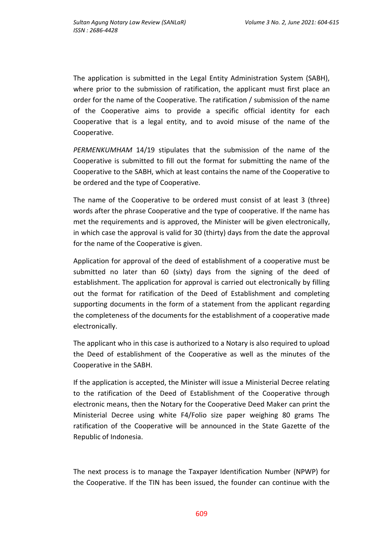The application is submitted in the Legal Entity Administration System (SABH), where prior to the submission of ratification, the applicant must first place an order for the name of the Cooperative. The ratification / submission of the name of the Cooperative aims to provide a specific official identity for each Cooperative that is a legal entity, and to avoid misuse of the name of the Cooperative.

*PERMENKUMHAM* 14/19 stipulates that the submission of the name of the Cooperative is submitted to fill out the format for submitting the name of the Cooperative to the SABH, which at least contains the name of the Cooperative to be ordered and the type of Cooperative.

The name of the Cooperative to be ordered must consist of at least 3 (three) words after the phrase Cooperative and the type of cooperative. If the name has met the requirements and is approved, the Minister will be given electronically, in which case the approval is valid for 30 (thirty) days from the date the approval for the name of the Cooperative is given.

Application for approval of the deed of establishment of a cooperative must be submitted no later than 60 (sixty) days from the signing of the deed of establishment. The application for approval is carried out electronically by filling out the format for ratification of the Deed of Establishment and completing supporting documents in the form of a statement from the applicant regarding the completeness of the documents for the establishment of a cooperative made electronically.

The applicant who in this case is authorized to a Notary is also required to upload the Deed of establishment of the Cooperative as well as the minutes of the Cooperative in the SABH.

If the application is accepted, the Minister will issue a Ministerial Decree relating to the ratification of the Deed of Establishment of the Cooperative through electronic means, then the Notary for the Cooperative Deed Maker can print the Ministerial Decree using white F4/Folio size paper weighing 80 grams The ratification of the Cooperative will be announced in the State Gazette of the Republic of Indonesia.

The next process is to manage the Taxpayer Identification Number (NPWP) for the Cooperative. If the TIN has been issued, the founder can continue with the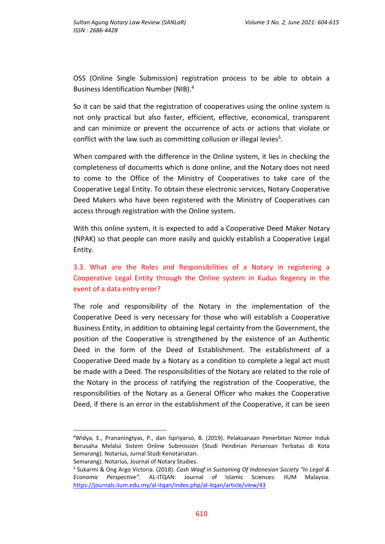OSS (Online Single Submission) registration process to be able to obtain a Business Identification Number (NIB).<sup>4</sup>

So it can be said that the registration of cooperatives using the online system is not only practical but also faster, efficient, effective, economical, transparent and can minimize or prevent the occurrence of acts or actions that violate or conflict with the law such as committing collusion or illegal levies<sup>5</sup>.

When compared with the difference in the Online system, it lies in checking the completeness of documents which is done online, and the Notary does not need to come to the Office of the Ministry of Cooperatives to take care of the Cooperative Legal Entity. To obtain these electronic services, Notary Cooperative Deed Makers who have been registered with the Ministry of Cooperatives can access through registration with the Online system.

With this online system, it is expected to add a Cooperative Deed Maker Notary (NPAK) so that people can more easily and quickly establish a Cooperative Legal Entity.

# 3.3. What are the Roles and Responsibilities of a Notary in registering a Cooperative Legal Entity through the Online system in Kudus Regency in the event of a data entry error?

The role and responsibility of the Notary in the implementation of the Cooperative Deed is very necessary for those who will establish a Cooperative Business Entity, in addition to obtaining legal certainty from the Government, the position of the Cooperative is strengthened by the existence of an Authentic Deed in the form of the Deed of Establishment. The establishment of a Cooperative Deed made by a Notary as a condition to complete a legal act must be made with a Deed. The responsibilities of the Notary are related to the role of the Notary in the process of ratifying the registration of the Cooperative, the responsibilities of the Notary as a General Officer who makes the Cooperative Deed, if there is an error in the establishment of the Cooperative, it can be seen

 $\overline{\phantom{a}}$ 

<sup>4</sup>Widya, E., Prananingtyas, P., dan Ispriyarso, B. (2019). Pelaksanaan Penerbitan Nomor Induk Berusaha Melalui Sistem Online Submission (Studi Pendirian Perseroan Terbatas di Kota Semarang). Notarius, Jurnal Studi Kenotariatan. Semarang). Notarius, Journal of Notary Studies.

<sup>5</sup> Sukarmi & Ong Argo Victoria. (2018). *Cash Waqf in Sustaining Of Indonesian Society "In Legal & Economic Perspective".* AL-ITQAN: Journal of Islamic Sciences: IIUM Malaysia. <https://journals.iium.edu.my/al-itqan/index.php/al-itqan/article/view/43>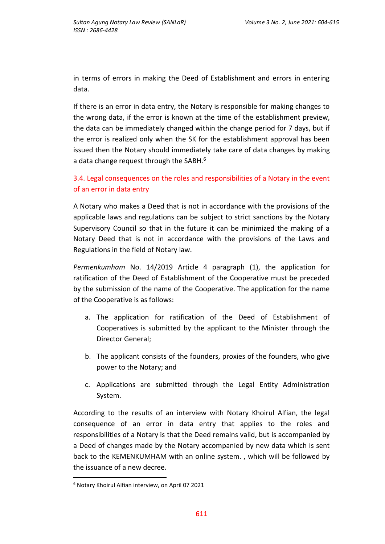in terms of errors in making the Deed of Establishment and errors in entering data.

If there is an error in data entry, the Notary is responsible for making changes to the wrong data, if the error is known at the time of the establishment preview, the data can be immediately changed within the change period for 7 days, but if the error is realized only when the SK for the establishment approval has been issued then the Notary should immediately take care of data changes by making a data change request through the SABH.<sup>6</sup>

3.4. Legal consequences on the roles and responsibilities of a Notary in the event of an error in data entry

A Notary who makes a Deed that is not in accordance with the provisions of the applicable laws and regulations can be subject to strict sanctions by the Notary Supervisory Council so that in the future it can be minimized the making of a Notary Deed that is not in accordance with the provisions of the Laws and Regulations in the field of Notary law.

*Permenkumham* No. 14/2019 Article 4 paragraph (1), the application for ratification of the Deed of Establishment of the Cooperative must be preceded by the submission of the name of the Cooperative. The application for the name of the Cooperative is as follows:

- a. The application for ratification of the Deed of Establishment of Cooperatives is submitted by the applicant to the Minister through the Director General;
- b. The applicant consists of the founders, proxies of the founders, who give power to the Notary; and
- c. Applications are submitted through the Legal Entity Administration System.

According to the results of an interview with Notary Khoirul Alfian, the legal consequence of an error in data entry that applies to the roles and responsibilities of a Notary is that the Deed remains valid, but is accompanied by a Deed of changes made by the Notary accompanied by new data which is sent back to the KEMENKUMHAM with an online system. , which will be followed by the issuance of a new decree.

 $\overline{a}$ 

<sup>6</sup> Notary Khoirul Alfian interview, on April 07 2021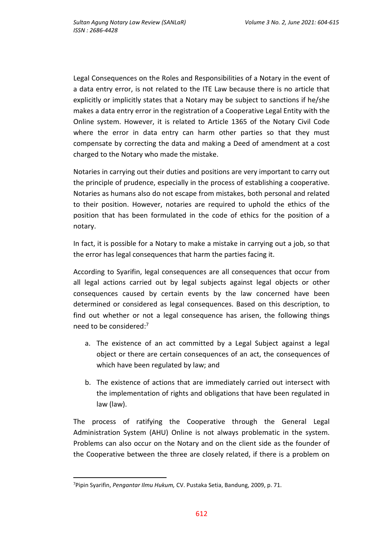Legal Consequences on the Roles and Responsibilities of a Notary in the event of a data entry error, is not related to the ITE Law because there is no article that explicitly or implicitly states that a Notary may be subject to sanctions if he/she makes a data entry error in the registration of a Cooperative Legal Entity with the Online system. However, it is related to Article 1365 of the Notary Civil Code where the error in data entry can harm other parties so that they must compensate by correcting the data and making a Deed of amendment at a cost charged to the Notary who made the mistake.

Notaries in carrying out their duties and positions are very important to carry out the principle of prudence, especially in the process of establishing a cooperative. Notaries as humans also do not escape from mistakes, both personal and related to their position. However, notaries are required to uphold the ethics of the position that has been formulated in the code of ethics for the position of a notary.

In fact, it is possible for a Notary to make a mistake in carrying out a job, so that the error has legal consequences that harm the parties facing it.

According to Syarifin, legal consequences are all consequences that occur from all legal actions carried out by legal subjects against legal objects or other consequences caused by certain events by the law concerned have been determined or considered as legal consequences. Based on this description, to find out whether or not a legal consequence has arisen, the following things need to be considered:<sup>7</sup>

- a. The existence of an act committed by a Legal Subject against a legal object or there are certain consequences of an act, the consequences of which have been regulated by law; and
- b. The existence of actions that are immediately carried out intersect with the implementation of rights and obligations that have been regulated in law (law).

The process of ratifying the Cooperative through the General Legal Administration System (AHU) Online is not always problematic in the system. Problems can also occur on the Notary and on the client side as the founder of the Cooperative between the three are closely related, if there is a problem on

 $\overline{a}$ 

<sup>7</sup>Pipin Syarifin, *Pengantar Ilmu Hukum,* CV. Pustaka Setia, Bandung, 2009, p. 71.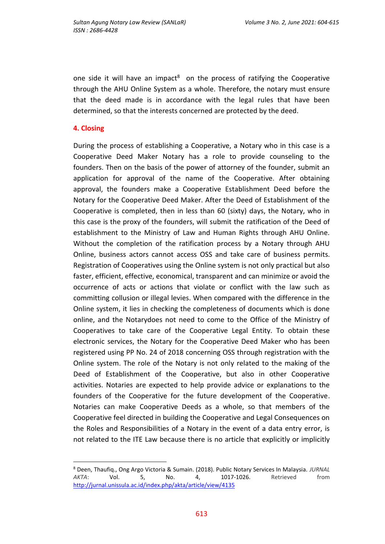one side it will have an impact<sup>8</sup> on the process of ratifying the Cooperative through the AHU Online System as a whole. Therefore, the notary must ensure that the deed made is in accordance with the legal rules that have been determined, so that the interests concerned are protected by the deed.

#### **4. Closing**

 $\overline{a}$ 

During the process of establishing a Cooperative, a Notary who in this case is a Cooperative Deed Maker Notary has a role to provide counseling to the founders. Then on the basis of the power of attorney of the founder, submit an application for approval of the name of the Cooperative. After obtaining approval, the founders make a Cooperative Establishment Deed before the Notary for the Cooperative Deed Maker. After the Deed of Establishment of the Cooperative is completed, then in less than 60 (sixty) days, the Notary, who in this case is the proxy of the founders, will submit the ratification of the Deed of establishment to the Ministry of Law and Human Rights through AHU Online. Without the completion of the ratification process by a Notary through AHU Online, business actors cannot access OSS and take care of business permits. Registration of Cooperatives using the Online system is not only practical but also faster, efficient, effective, economical, transparent and can minimize or avoid the occurrence of acts or actions that violate or conflict with the law such as committing collusion or illegal levies. When compared with the difference in the Online system, it lies in checking the completeness of documents which is done online, and the Notarydoes not need to come to the Office of the Ministry of Cooperatives to take care of the Cooperative Legal Entity. To obtain these electronic services, the Notary for the Cooperative Deed Maker who has been registered using PP No. 24 of 2018 concerning OSS through registration with the Online system. The role of the Notary is not only related to the making of the Deed of Establishment of the Cooperative, but also in other Cooperative activities. Notaries are expected to help provide advice or explanations to the founders of the Cooperative for the future development of the Cooperative. Notaries can make Cooperative Deeds as a whole, so that members of the Cooperative feel directed in building the Cooperative and Legal Consequences on the Roles and Responsibilities of a Notary in the event of a data entry error, is not related to the ITE Law because there is no article that explicitly or implicitly

<sup>8</sup> Deen, Thaufiq., Ong Argo Victoria & Sumain. (2018). Public Notary Services In Malaysia. *JURNAL AKTA*: Vol. 5, No. 4, 1017-1026. Retrieved from <http://jurnal.unissula.ac.id/index.php/akta/article/view/4135>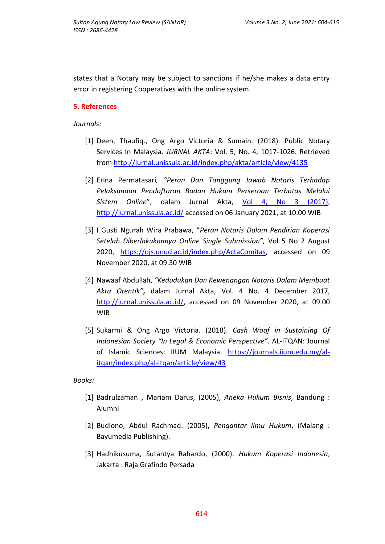states that a Notary may be subject to sanctions if he/she makes a data entry error in registering Cooperatives with the online system.

### **5. References**

*Journals:*

- [1] Deen, Thaufiq., Ong Argo Victoria & Sumain. (2018). Public Notary Services In Malaysia. *JURNAL AKTA*: Vol. 5, No. 4, 1017-1026. Retrieved from <http://jurnal.unissula.ac.id/index.php/akta/article/view/4135>
- [2] Erina Permatasari*, "Peran Dan Tanggung Jawab Notaris Terhadap Pelaksanaan Pendaftaran Badan Hukum Perseroan Terbatas Melalui Sistem Online*", dalam Jurnal Akta, [Vol 4, No 3 \(2017\),](http://jurnal.unissula.ac.id/index.php/akta/issue/view/214) <http://jurnal.unissula.ac.id/> accessed on 06 January 2021, at 10.00 WIB
- [3] I Gusti Ngurah Wira Prabawa, "*Peran Notaris Dalam Pendirian Koperasi Setelah Diberlakukannya Online Single Submission",* Vol 5 No 2 August 2020, [https://ojs.unud.ac.id/index.php/ActaComitas,](https://ojs.unud.ac.id/index.php/ActaComitas) accessed on 09 November 2020, at 09.30 WIB
- [4] Nawaaf Abdullah, *"Kedudukan Dan Kewenangan Notaris Dalam Membuat Akta Otentik"***,** dalam Jurnal Akta, Vol. 4 No. 4 December 2017, [http://jurnal.unissula.ac.id/,](http://jurnal.unissula.ac.id/) accessed on 09 November 2020, at 09.00 WIB
- [5] Sukarmi & Ong Argo Victoria. (2018). *Cash Waqf in Sustaining Of Indonesian Society "In Legal & Economic Perspective".* AL-ITQAN: Journal of Islamic Sciences: IIUM Malaysia. [https://journals.iium.edu.my/al](https://journals.iium.edu.my/al-itqan/index.php/al-itqan/article/view/43)[itqan/index.php/al-itqan/article/view/43](https://journals.iium.edu.my/al-itqan/index.php/al-itqan/article/view/43)

*Books:*

- [1] Badrulzaman , Mariam Darus, (2005), *Aneka Hukum Bisnis*, Bandung : Alumni
- [2] Budiono, Abdul Rachmad. (2005), *Pengantar Ilmu Hukum*, (Malang : Bayumedia Publishing).
- [3] Hadhikusuma, Sutantya Rahardo, (2000). *Hukum Koperasi Indonesia*, Jakarta : Raja Grafindo Persada